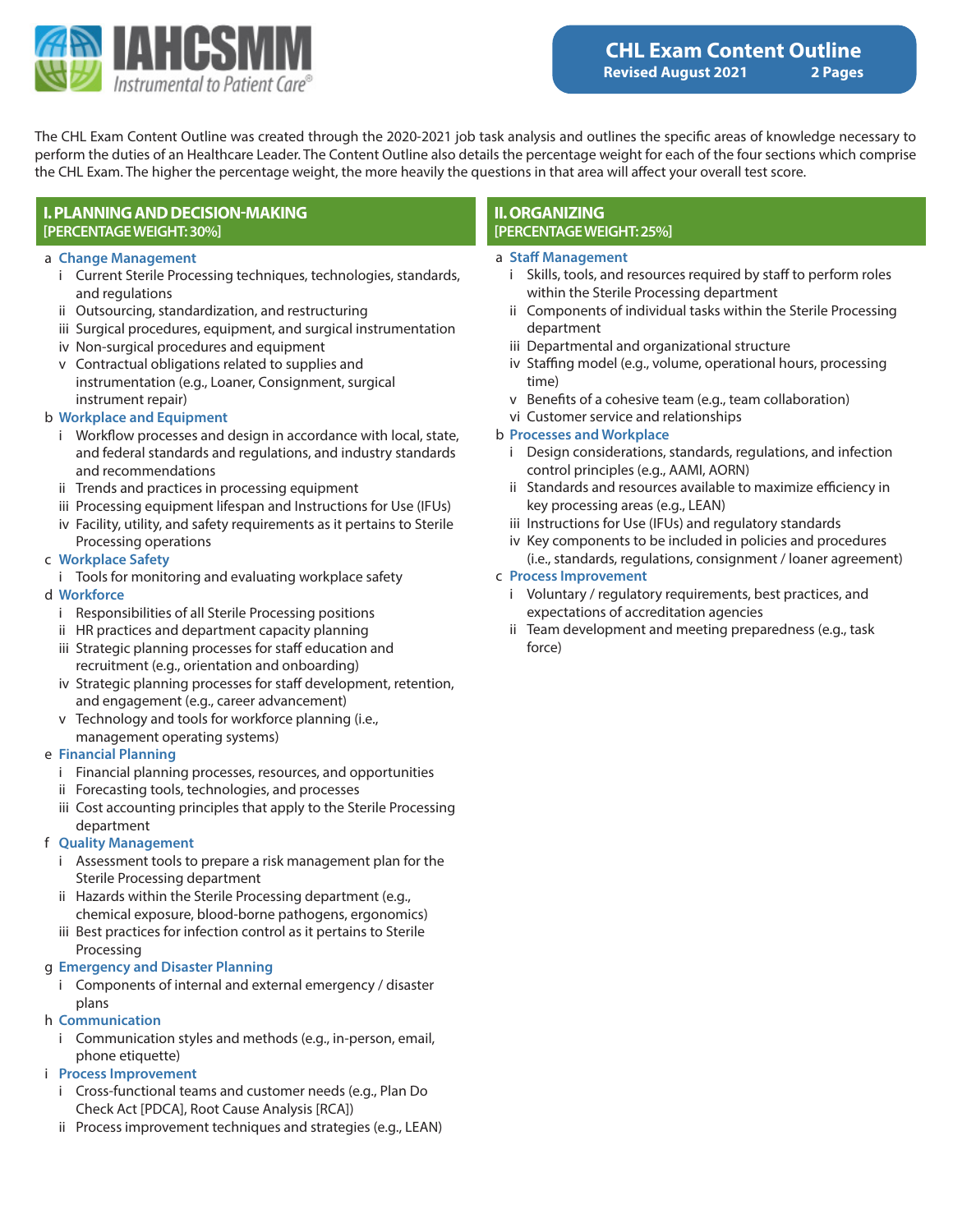

The CHL Exam Content Outline was created through the 2020-2021 job task analysis and outlines the specific areas of knowledge necessary to perform the duties of an Healthcare Leader. The Content Outline also details the percentage weight for each of the four sections which comprise the CHL Exam. The higher the percentage weight, the more heavily the questions in that area will affect your overall test score.

# **I. PLANNING AND DECISION-MAKING [PERCENTAGE WEIGHT: 30%]**

#### a **Change Management**

- i Current Sterile Processing techniques, technologies, standards, and regulations
- ii Outsourcing, standardization, and restructuring
- iii Surgical procedures, equipment, and surgical instrumentation
- iv Non-surgical procedures and equipment
- v Contractual obligations related to supplies and instrumentation (e.g., Loaner, Consignment, surgical instrument repair)

### b **Workplace and Equipment**

- i Workflow processes and design in accordance with local, state, and federal standards and regulations, and industry standards and recommendations
- ii Trends and practices in processing equipment
- iii Processing equipment lifespan and Instructions for Use (IFUs)
- iv Facility, utility, and safety requirements as it pertains to Sterile Processing operations

#### c **Workplace Safety**

i Tools for monitoring and evaluating workplace safety

#### d **Workforce**

- i Responsibilities of all Sterile Processing positions
- ii HR practices and department capacity planning
- iii Strategic planning processes for staff education and recruitment (e.g., orientation and onboarding)
- iv Strategic planning processes for staff development, retention, and engagement (e.g., career advancement)
- v Technology and tools for workforce planning (i.e., management operating systems)

### e **Financial Planning**

- i Financial planning processes, resources, and opportunities
- ii Forecasting tools, technologies, and processes
- iii Cost accounting principles that apply to the Sterile Processing department

### f **Quality Management**

- i Assessment tools to prepare a risk management plan for the Sterile Processing department
- ii Hazards within the Sterile Processing department (e.g., chemical exposure, blood-borne pathogens, ergonomics)
- iii Best practices for infection control as it pertains to Sterile Processing

### g **Emergency and Disaster Planning**

i Components of internal and external emergency / disaster plans

#### h **Communication**

i Communication styles and methods (e.g., in-person, email, phone etiquette)

# i **Process Improvement**

- i Cross-functional teams and customer needs (e.g., Plan Do Check Act [PDCA], Root Cause Analysis [RCA])
- ii Process improvement techniques and strategies (e.g., LEAN)

### **II. ORGANIZING [PERCENTAGE WEIGHT: 25%]**

### a **Staff Management**

- i Skills, tools, and resources required by staff to perform roles within the Sterile Processing department
- ii Components of individual tasks within the Sterile Processing department
- iii Departmental and organizational structure
- iv Staffing model (e.g., volume, operational hours, processing time)
- v Benefits of a cohesive team (e.g., team collaboration)
- vi Customer service and relationships

### b **Processes and Workplace**

- i Design considerations, standards, regulations, and infection control principles (e.g., AAMI, AORN)
- ii Standards and resources available to maximize efficiency in key processing areas (e.g., LEAN)
- iii Instructions for Use (IFUs) and regulatory standards
- iv Key components to be included in policies and procedures (i.e., standards, regulations, consignment / loaner agreement)

#### c **Process Improvement**

- i Voluntary / regulatory requirements, best practices, and expectations of accreditation agencies
- ii Team development and meeting preparedness (e.g., task force)